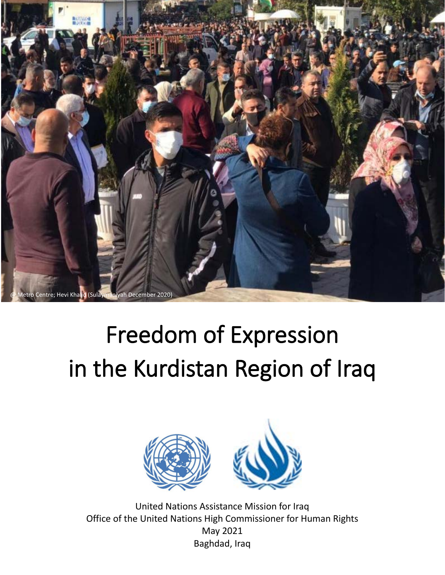

# Freedom of Expression in the Kurdistan Region of Iraq



United Nations Assistance Mission for Iraq Office of the United Nations High Commissioner for Human Rights May 2021 Baghdad, Iraq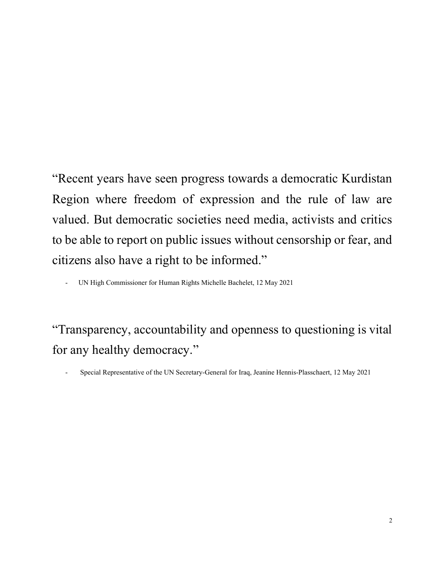"Recent years have seen progress towards a democratic Kurdistan Region where freedom of expression and the rule of law are valued. But democratic societies need media, activists and critics to be able to report on public issues without censorship or fear, and citizens also have a right to be informed."

- UN High Commissioner for Human Rights Michelle Bachelet, 12 May 2021

"Transparency, accountability and openness to questioning is vital for any healthy democracy."

- Special Representative of the UN Secretary-General for Iraq, Jeanine Hennis-Plasschaert, 12 May 2021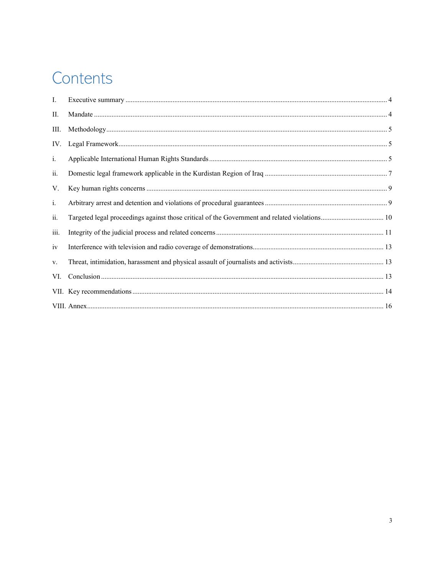# Contents

| Ι.             |  |
|----------------|--|
| П.             |  |
| III.           |  |
| IV.            |  |
| $\mathbf{i}$ . |  |
| ii.            |  |
| V.             |  |
| $i$ .          |  |
| ii.            |  |
| iii.           |  |
| iv             |  |
| V.             |  |
| VI.            |  |
|                |  |
|                |  |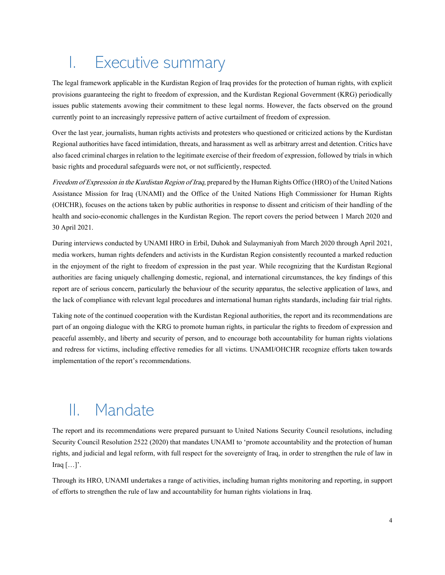# <span id="page-3-0"></span>I. Executive summary

The legal framework applicable in the Kurdistan Region of Iraq provides for the protection of human rights, with explicit provisions guaranteeing the right to freedom of expression, and the Kurdistan Regional Government (KRG) periodically issues public statements avowing their commitment to these legal norms. However, the facts observed on the ground currently point to an increasingly repressive pattern of active curtailment of freedom of expression.

Over the last year, journalists, human rights activists and protesters who questioned or criticized actions by the Kurdistan Regional authorities have faced intimidation, threats, and harassment as well as arbitrary arrest and detention. Critics have also faced criminal charges in relation to the legitimate exercise of their freedom of expression, followed by trials in which basic rights and procedural safeguards were not, or not sufficiently, respected.

Freedom of Expression in the Kurdistan Region of Iraq, prepared by the Human Rights Office (HRO) of the United Nations Assistance Mission for Iraq (UNAMI) and the Office of the United Nations High Commissioner for Human Rights (OHCHR), focuses on the actions taken by public authorities in response to dissent and criticism of their handling of the health and socio-economic challenges in the Kurdistan Region. The report covers the period between 1 March 2020 and 30 April 2021.

During interviews conducted by UNAMI HRO in Erbil, Duhok and Sulaymaniyah from March 2020 through April 2021, media workers, human rights defenders and activists in the Kurdistan Region consistently recounted a marked reduction in the enjoyment of the right to freedom of expression in the past year. While recognizing that the Kurdistan Regional authorities are facing uniquely challenging domestic, regional, and international circumstances, the key findings of this report are of serious concern, particularly the behaviour of the security apparatus, the selective application of laws, and the lack of compliance with relevant legal procedures and international human rights standards, including fair trial rights.

Taking note of the continued cooperation with the Kurdistan Regional authorities, the report and its recommendations are part of an ongoing dialogue with the KRG to promote human rights, in particular the rights to freedom of expression and peaceful assembly, and liberty and security of person, and to encourage both accountability for human rights violations and redress for victims, including effective remedies for all victims. UNAMI/OHCHR recognize efforts taken towards implementation of the report's recommendations.

# <span id="page-3-1"></span>II. Mandate

The report and its recommendations were prepared pursuant to United Nations Security Council resolutions, including Security Council Resolution 2522 (2020) that mandates UNAMI to 'promote accountability and the protection of human rights, and judicial and legal reform, with full respect for the sovereignty of Iraq, in order to strengthen the rule of law in Iraq  $[...]'.$ 

Through its HRO, UNAMI undertakes a range of activities, including human rights monitoring and reporting, in support of efforts to strengthen the rule of law and accountability for human rights violations in Iraq.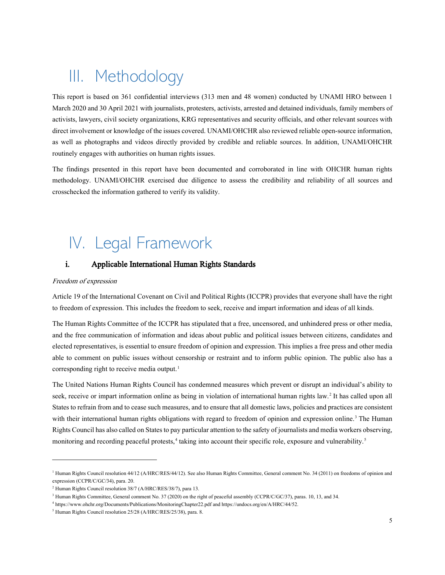# <span id="page-4-0"></span>III. Methodology

This report is based on 361 confidential interviews (313 men and 48 women) conducted by UNAMI HRO between 1 March 2020 and 30 April 2021 with journalists, protesters, activists, arrested and detained individuals, family members of activists, lawyers, civil society organizations, KRG representatives and security officials, and other relevant sources with direct involvement or knowledge of the issues covered. UNAMI/OHCHR also reviewed reliable open-source information, as well as photographs and videos directly provided by credible and reliable sources. In addition, UNAMI/OHCHR routinely engages with authorities on human rights issues.

The findings presented in this report have been documented and corroborated in line with OHCHR human rights methodology. UNAMI/OHCHR exercised due diligence to assess the credibility and reliability of all sources and crosschecked the information gathered to verify its validity.

# <span id="page-4-1"></span>IV. Legal Framework

### <span id="page-4-2"></span>i. Applicable International Human Rights Standards

#### Freedom of expression

Article 19 of the International Covenant on Civil and Political Rights (ICCPR) provides that everyone shall have the right to freedom of expression. This includes the freedom to seek, receive and impart information and ideas of all kinds.

The Human Rights Committee of the ICCPR has stipulated that a free, uncensored, and unhindered press or other media, and the free communication of information and ideas about public and political issues between citizens, candidates and elected representatives, is essential to ensure freedom of opinion and expression. This implies a free press and other media able to comment on public issues without censorship or restraint and to inform public opinion. The public also has a corresponding right to receive media output.<sup>[1](#page-4-3)</sup>

The United Nations Human Rights Council has condemned measures which prevent or disrupt an individual's ability to seek, receive or impart information online as being in violation of international human rights law.<sup>[2](#page-4-4)</sup> It has called upon all States to refrain from and to cease such measures, and to ensure that all domestic laws, policies and practices are consistent with their international human rights obligations with regard to freedom of opinion and expression online. [3](#page-4-5) The Human Rights Council has also called on States to pay particular attention to the safety of journalists and media workers observing, monitoring and recording peaceful protests,<sup>[4](#page-4-6)</sup> taking into account their specific role, exposure and vulnerability.<sup>[5](#page-4-7)</sup>

<span id="page-4-3"></span><sup>&</sup>lt;sup>1</sup> Human Rights Council resolution 44/12 (A/HRC/RES/44/12). See also Human Rights Committee, General comment No. 34 (2011) on freedoms of opinion and expression (CCPR/C/GC/34), para. 20.

<span id="page-4-4"></span><sup>2</sup> Human Rights Council resolution 38/7 (A/HRC/RES/38/7), para 13.

<span id="page-4-5"></span><sup>&</sup>lt;sup>3</sup> Human Rights Committee, General comment No. 37 (2020) on the right of peaceful assembly (CCPR/C/GC/37), paras. 10, 13, and 34.

<span id="page-4-6"></span><sup>4</sup> <https://www.ohchr.org/Documents/Publications/MonitoringChapter22.pdf> an[d https://undocs.org/en/A/HRC/44/52.](https://undocs.org/en/A/HRC/44/52)

<span id="page-4-7"></span><sup>5</sup> Human Rights Council resolution 25/28 (A/HRC/RES/25/38), para. 8.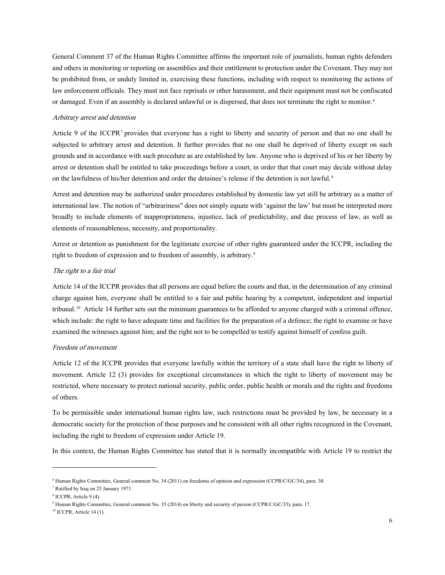General Comment 37 of the Human Rights Committee affirms the important role of journalists, human rights defenders and others in monitoring or reporting on assemblies and their entitlement to protection under the Covenant. They may not be prohibited from, or unduly limited in, exercising these functions, including with respect to monitoring the actions of law enforcement officials. They must not face reprisals or other harassment, and their equipment must not be confiscated or damaged. Even if an assembly is declared unlawful or is dispersed, that does not terminate the right to monitor.<sup>[6](#page-5-0)</sup>

#### Arbitrary arrest and detention

Article 9 of the ICCPR<sup>[7](#page-5-1)</sup> provides that everyone has a right to liberty and security of person and that no one shall be subjected to arbitrary arrest and detention. It further provides that no one shall be deprived of liberty except on such grounds and in accordance with such procedure as are established by law. Anyone who is deprived of his or her liberty by arrest or detention shall be entitled to take proceedings before a court, in order that that court may decide without delay on the lawfulness of his/her detention and order the detainee's release if the detention is not lawful.<sup>[8](#page-5-2)</sup>

Arrest and detention may be authorized under procedures established by domestic law yet still be arbitrary as a matter of international law. The notion of "arbitrariness" does not simply equate with 'against the law' but must be interpreted more broadly to include elements of inappropriateness, injustice, lack of predictability, and due process of law, as well as elements of reasonableness, necessity, and proportionality.

Arrest or detention as punishment for the legitimate exercise of other rights guaranteed under the ICCPR, including the right to freedom of expression and to freedom of assembly, is arbitrary.<sup>9</sup>

#### The right to a fair trial

Article 14 of the ICCPR provides thatall persons are equal before the courts and that, in the determination of any criminal charge against him, everyone shall be entitled to a fair and public hearing by a competent, independent and impartial tribunal. [10](#page-5-4) Article 14 further sets out the minimum guarantees to be afforded to anyone charged with a criminal offence, which include: the right to have adequate time and facilities for the preparation of a defence; the right to examine or have examined the witnesses against him; and the right not to be compelled to testify against himself of confess guilt.

#### Freedom of movement

Article 12 of the ICCPR provides that everyone lawfully within the territory of a state shall have the right to liberty of movement. Article 12 (3) provides for exceptional circumstances in which the right to liberty of movement may be restricted, where necessary to protect national security, public order, public health or morals and the rights and freedoms of others.

To be permissible under international human rights law, such restrictions must be provided by law, be necessary in a democratic society for the protection of these purposes and be consistent with all other rights recognized in the Covenant, including the right to freedom of expression under Article 19.

In this context, the Human Rights Committee has stated that it is normally incompatible with Article 19 to restrict the

<span id="page-5-4"></span><sup>10</sup> ICCPR, Article 14 (1).

<span id="page-5-0"></span><sup>6</sup> Human Rights Committee, General comment No. 34 (2011) on freedoms of opinion and expression (CCPR/C/GC/34), para. 30.

<span id="page-5-1"></span><sup>7</sup> Ratified by Iraq on 25 January 1971.

<span id="page-5-2"></span><sup>8</sup> ICCPR, Article 9 (4).

<span id="page-5-3"></span><sup>9</sup> Human Rights Committee, General comment No. 35 (2014) on liberty and security of person (CCPR/C/GC/35), para. 17.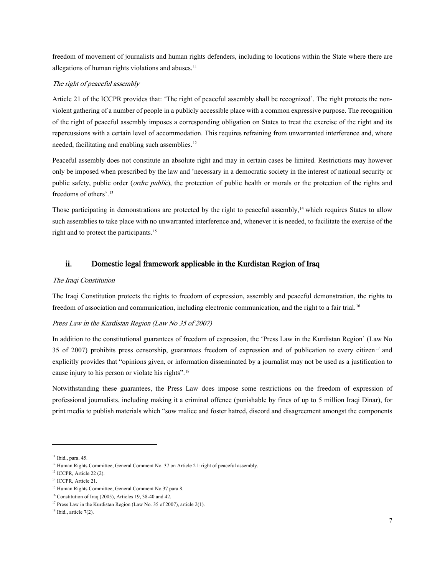freedom of movement of journalists and human rights defenders, including to locations within the State where there are allegations of human rights violations and abuses. $11$ 

#### The right of peaceful assembly

Article 21 of the ICCPR provides that: 'The right of peaceful assembly shall be recognized'. The right protects the nonviolent gathering of a number of people in a publicly accessible place with a common expressive purpose. The recognition of the right of peaceful assembly imposes a corresponding obligation on States to treat the exercise of the right and its repercussions with a certain level of accommodation. This requires refraining from unwarranted interference and, where needed, facilitating and enabling such assemblies.<sup>[12](#page-6-2)</sup>

Peaceful assembly does not constitute an absolute right and may in certain cases be limited. Restrictions may however only be imposed when prescribed by the law and 'necessary in a democratic society in the interest of national security or public safety, public order (ordre public), the protection of public health or morals or the protection of the rights and freedoms of others'.[13](#page-6-3)

Those participating in demonstrations are protected by the right to peaceful assembly, $14$  which requires States to allow such assemblies to take place with no unwarranted interference and, whenever it is needed, to facilitate the exercise of the right and to protect the participants.<sup>[15](#page-6-5)</sup>

## <span id="page-6-0"></span>ii. Domestic legal framework applicable in the Kurdistan Region of Iraq

#### The Iraqi Constitution

The Iraqi Constitution protects the rights to freedom of expression, assembly and peaceful demonstration, the rights to freedom of association and communication, including electronic communication, and the right to a fair trial.<sup>[16](#page-6-6)</sup>

### Press Law in the Kurdistan Region (Law No 35 of 2007)

In addition to the constitutional guarantees of freedom of expression, the 'Press Law in the Kurdistan Region' (Law No 35 of 2007) prohibits press censorship, guarantees freedom of expression and of publication to every citizen<sup>[17](#page-6-7)</sup> and explicitly provides that "opinions given, or information disseminated by a journalist may not be used as a justification to cause injury to his person or violate his rights". [18](#page-6-8)

Notwithstanding these guarantees, the Press Law does impose some restrictions on the freedom of expression of professional journalists, including making it a criminal offence (punishable by fines of up to 5 million Iraqi Dinar), for print media to publish materials which "sow malice and foster hatred, discord and disagreement amongst the components

<span id="page-6-1"></span><sup>&</sup>lt;sup>11</sup> Ibid., para. 45.

<span id="page-6-2"></span><sup>&</sup>lt;sup>12</sup> Human Rights Committee, General Comment No. 37 on Article 21: right of peaceful assembly.

<span id="page-6-3"></span><sup>13</sup> ICCPR, Article 22 (2).

<span id="page-6-4"></span><sup>&</sup>lt;sup>14</sup> ICCPR, Article 21.

<span id="page-6-5"></span><sup>&</sup>lt;sup>15</sup> Human Rights Committee, General Comment No.37 para 8.

<span id="page-6-6"></span><sup>16</sup> Constitution of Iraq (2005), Articles 19, 38-40 and 42.

<span id="page-6-7"></span><sup>&</sup>lt;sup>17</sup> Press Law in the Kurdistan Region (Law No. 35 of 2007), article 2(1).

<span id="page-6-8"></span> $18$  Ibid., article 7(2).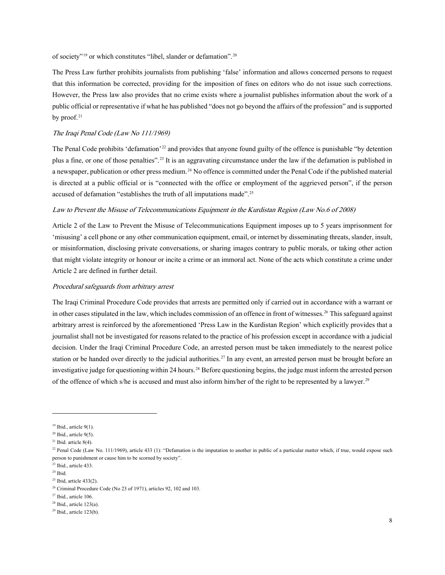of society"[19](#page-7-0) or which constitutes "libel, slander or defamation". [20](#page-7-1)

The Press Law further prohibits journalists from publishing 'false' information and allows concerned persons to request that this information be corrected, providing for the imposition of fines on editors who do not issue such corrections. However, the Press law also provides that no crime exists where a journalist publishes information about the work of a public official or representative if what he has published "does not go beyond the affairs of the profession" and is supported by proof. $21$ 

### The Iraqi Penal Code (Law No 111/1969)

The Penal Code prohibits 'defamation'<sup>[22](#page-7-3)</sup> and provides that anyone found guilty of the offence is punishable "by detention plus a fine, or one of those penalties". [23](#page-7-4) It is an aggravating circumstance under the law if the defamation is published in a newspaper, publication or other press medium.<sup>[24](#page-7-5)</sup> No offence is committed under the Penal Code if the published material is directed at a public official or is "connected with the office or employment of the aggrieved person", if the person accused of defamation "establishes the truth of all imputations made".<sup>[25](#page-7-6)</sup>

#### Law to Prevent the Misuse of Telecommunications Equipment in the Kurdistan Region (Law No.6 of 2008)

Article 2 of the Law to Prevent the Misuse of Telecommunications Equipment imposes up to 5 years imprisonment for 'misusing'a cell phone or any other communication equipment, email, or internet by disseminating threats, slander, insult, or misinformation, disclosing private conversations, or sharing images contrary to public morals, or taking other action that might violate integrity or honour or incite a crime or an immoral act. None of the acts which constitute a crime under Article 2 are defined in further detail.

#### Procedural safeguards from arbitrary arrest

The Iraqi Criminal Procedure Code provides that arrests are permitted only if carried out in accordance with a warrant or in other cases stipulated in the law, which includes commission of an offence in front of witnesses. [26](#page-7-7) This safeguard against arbitrary arrest is reinforced by the aforementioned 'Press Law in the Kurdistan Region' which explicitly provides that a journalist shall not be investigated for reasons related to the practice of his profession except in accordance with a judicial decision. Under the Iraqi Criminal Procedure Code, an arrested person must be taken immediately to the nearest police station or be handed over directly to the judicial authorities.<sup>[27](#page-7-8)</sup> In any event, an arrested person must be brought before an investigative judge for questioning within 24 hours.<sup>[28](#page-7-9)</sup> Before questioning begins, the judge must inform the arrested person of the offence of which s/he is accused and must also inform him/her of the right to be represented by a lawyer.<sup>[29](#page-7-10)</sup>

<span id="page-7-0"></span> $19$  Ibid., article 9(1).

<span id="page-7-1"></span> $20$  Ibid., article 9(5).

<span id="page-7-2"></span> $21$  Ibid. article 8(4).

<span id="page-7-3"></span> $^{22}$  Penal Code (Law No. 111/1969), article 433 (1): "Defamation is the imputation to another in public of a particular matter which, if true, would expose such person to punishment or cause him to be scorned by society".

<span id="page-7-4"></span><sup>23</sup> Ibid., article 433.

<span id="page-7-5"></span> $24$  Ibid.

<span id="page-7-6"></span> $25$  Ibid, article 433(2).

<span id="page-7-7"></span><sup>26</sup> Criminal Procedure Code (No 23 of 1971), articles 92, 102 and 103.

<span id="page-7-8"></span><sup>27</sup> Ibid., article 106.

<span id="page-7-9"></span> $28$  Ibid., article 123(a).

<span id="page-7-10"></span> $29$  Ibid., article 123(b).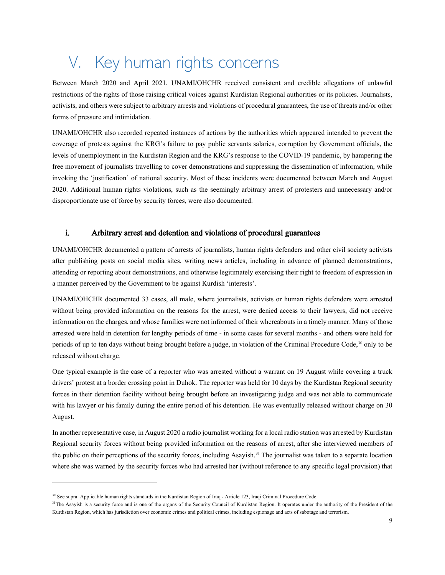# <span id="page-8-0"></span>V. Key human rights concerns

Between March 2020 and April 2021, UNAMI/OHCHR received consistent and credible allegations of unlawful restrictions of the rights of those raising critical voices against Kurdistan Regional authorities or its policies. Journalists, activists,and others were subject to arbitrary arrests and violations of procedural guarantees, the use of threats and/or other forms of pressure and intimidation.

UNAMI/OHCHR also recorded repeated instances of actions by the authorities which appeared intended to prevent the coverage of protests against the KRG's failure to pay public servants salaries, corruption by Government officials, the levels of unemployment in the Kurdistan Region and the KRG's response to the COVID-19 pandemic, by hampering the free movement of journalists travelling to cover demonstrations and suppressing the dissemination of information, while invoking the 'justification' of national security. Most of these incidents were documented between March and August 2020. Additional human rights violations, such as the seemingly arbitrary arrest of protesters and unnecessary and/or disproportionate use of force by security forces, were also documented.

# <span id="page-8-1"></span>i. Arbitrary arrest and detention and violations of procedural guarantees

UNAMI/OHCHR documented a pattern of arrests of journalists, human rights defenders and other civil society activists after publishing posts on social media sites, writing news articles, including in advance of planned demonstrations, attending or reporting about demonstrations, and otherwise legitimately exercising their right to freedom of expression in a manner perceived by the Government to be against Kurdish 'interests'.

UNAMI/OHCHR documented 33 cases, all male, where journalists, activists or human rights defenders were arrested without being provided information on the reasons for the arrest, were denied access to their lawyers, did not receive information on the charges, and whose families were not informed of their whereabouts in a timely manner. Many of those arrested were held in detention for lengthy periods of time - in some cases for several months - and others were held for periods of up to ten days without being brought before a judge, in violation of the Criminal Procedure Code, [30](#page-8-2) only to be released without charge.

One typical example is the case of a reporter who was arrested without a warrant on 19 August while covering a truck drivers' protest at a border crossing point in Duhok. The reporter was held for 10 days by the Kurdistan Regional security forces in their detention facility without being brought before an investigating judge and was not able to communicate with his lawyer or his family during the entire period of his detention. He was eventually released without charge on 30 August.

In another representativecase, in August 2020 a radio journalist working for a local radio station was arrested by Kurdistan Regional security forces without being provided information on the reasons of arrest, after she interviewed members of the public on their perceptions of the security forces, including Asayish. [31](#page-8-3) The journalist was taken to a separate location where she was warned by the security forces who had arrested her (without reference to any specific legal provision) that

<span id="page-8-2"></span><sup>&</sup>lt;sup>30</sup> See supra: Applicable human rights standards in the Kurdistan Region of Iraq - Article 123, Iraqi Criminal Procedure Code.

<span id="page-8-3"></span><sup>&</sup>lt;sup>31</sup>The Asayish is a security force and is one of the organs of the Security Council of Kurdistan Region. It operates under the authority of the President of the Kurdistan Region, which has jurisdiction over economic crimes and political crimes, including espionage and acts of sabotage and terrorism.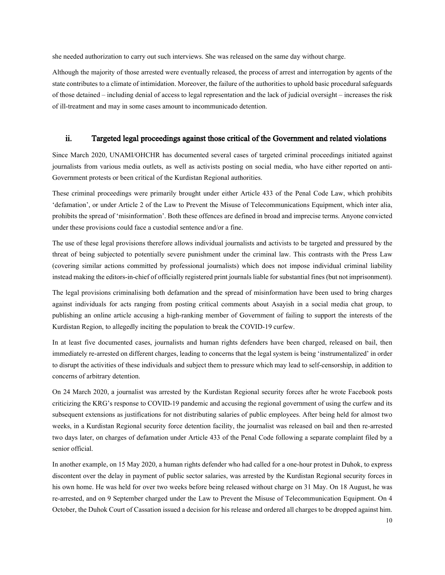she needed authorization to carry out such interviews. She was released on the same day without charge.

Although the majority of those arrested were eventually released, the process of arrest and interrogation by agents of the state contributes to a climate of intimidation. Moreover, the failure of the authorities to uphold basic procedural safeguards of those detained – including denial of access to legal representation and the lack of judicial oversight – increases the risk of ill-treatment and may in some cases amount to incommunicado detention.

### <span id="page-9-0"></span>ii. Targeted legal proceedings against those critical of the Government and related violations

Since March 2020, UNAMI/OHCHR has documented several cases of targeted criminal proceedings initiated against journalists from various media outlets, as well as activists posting on social media, who have either reported on anti-Government protests or been critical of the Kurdistan Regional authorities.

These criminal proceedings were primarily brought under either Article 433 of the Penal Code Law, which prohibits 'defamation', or under Article 2 of the Law to Prevent the Misuse of Telecommunications Equipment, which inter alia, prohibits the spread of 'misinformation'. Both these offences are defined in broad and imprecise terms. Anyone convicted under these provisions could face a custodial sentence and/or a fine.

The use of these legal provisions therefore allows individual journalists and activists to be targeted and pressured by the threat of being subjected to potentially severe punishment under the criminal law. This contrasts with the Press Law (covering similar actions committed by professional journalists) which does not impose individual criminal liability instead making the editors-in-chief of officially registered print journals liable for substantial fines (but not imprisonment).

The legal provisions criminalising both defamation and the spread of misinformation have been used to bring charges against individuals for acts ranging from posting critical comments about Asayish in a social media chat group, to publishing an online article accusing a high-ranking member of Government of failing to support the interests of the Kurdistan Region, to allegedly inciting the population to break the COVID-19 curfew.

In at least five documented cases, journalists and human rights defenders have been charged, released on bail, then immediately re-arrested on different charges, leading to concerns that the legal system is being 'instrumentalized' in order to disrupt the activities of these individuals and subject them to pressure which may lead to self-censorship, in addition to concerns of arbitrary detention.

On 24 March 2020, a journalist was arrested by the Kurdistan Regional security forces after he wrote Facebook posts criticizing the KRG's response to COVID-19 pandemic and accusing the regional government of using the curfew and its subsequent extensions as justifications for not distributing salaries of public employees. After being held for almost two weeks, in a Kurdistan Regional security force detention facility, the journalist was released on bail and then re-arrested two days later, on charges of defamation under Article 433 of the Penal Code following a separate complaint filed by a senior official.

In another example, on 15 May 2020, a human rights defender who had called for a one-hour protest in Duhok, to express discontent over the delay in payment of public sector salaries, was arrested by the Kurdistan Regional security forces in his own home. He was held for over two weeks before being released without charge on 31 May. On 18 August, he was re-arrested, and on 9 September charged under the Law to Prevent the Misuse of Telecommunication Equipment. On 4 October, the Duhok Court of Cassation issued a decision for his release and ordered all charges to be dropped against him.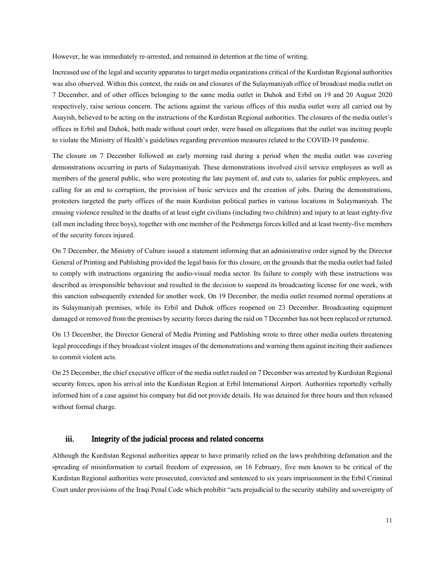However, he was immediately re-arrested, and remained in detention at the time of writing.

Increased use of the legal and security apparatus to target media organizations critical of the Kurdistan Regionalauthorities was also observed. Within this context, the raids on and closures of the Sulaymaniyah office of broadcast media outlet on 7 December, and of other offices belonging to the same media outlet in Duhok and Erbil on 19 and 20 August 2020 respectively, raise serious concern. The actions against the various offices of this media outlet were all carried out by Asayish, believed to be acting on the instructions of the Kurdistan Regional authorities. The closures of the media outlet's offices in Erbil and Duhok, both made without court order, were based on allegations that the outlet was inciting people to violate the Ministry of Health's guidelines regarding prevention measures related to the COVID-19 pandemic.

The closure on 7 December followed an early morning raid during a period when the media outlet was covering demonstrations occurring in parts of Sulaymaniyah. These demonstrations involved civil service employees as well as members of the general public, who were protesting the late payment of, and cuts to, salaries for public employees, and calling for an end to corruption, the provision of basic services and the creation of jobs. During the demonstrations, protesters targeted the party offices of the main Kurdistan political parties in various locations in Sulaymaniyah. The ensuing violence resulted in the deaths of at least eight civilians (including two children) and injury to at least eighty-five (all men including three boys), together with one member of the Peshmerga forces killed and at least twenty-five members of the security forces injured.

On 7 December, the Ministry of Culture issued a statement informing that an administrative order signed by the Director General of Printing and Publishing provided the legal basis for this closure, on the grounds that the media outlet had failed to comply with instructions organizing the audio-visual media sector. Its failure to comply with these instructions was described as irresponsible behaviour and resulted in the decision to suspend its broadcasting license for one week, with this sanction subsequently extended for another week. On 19 December, the media outlet resumed normal operations at its Sulaymaniyah premises, while its Erbil and Duhok offices reopened on 23 December. Broadcasting equipment damaged or removed from the premises by security forces during the raid on 7 December has not been replaced or returned.

On 13 December, the Director General of Media Printing and Publishing wrote to three other media outlets threatening legal proceedings if they broadcast violent images of the demonstrations and warning them against inciting their audiences to commit violent acts.

On 25 December, the chief executive officer of the media outlet raided on 7 December was arrested by Kurdistan Regional security forces, upon his arrival into the Kurdistan Region at Erbil International Airport. Authorities reportedly verbally informed him of a case against his company but did not provide details. He was detained for three hours and then released without formal charge.

### <span id="page-10-0"></span>iii. Integrity of the judicial process and related concerns

Although the Kurdistan Regional authorities appear to have primarily relied on the laws prohibiting defamation and the spreading of misinformation to curtail freedom of expression, on 16 February, five men known to be critical of the Kurdistan Regional authorities were prosecuted, convicted and sentenced to six years imprisonment in the Erbil Criminal Court under provisions of the Iraqi Penal Code which prohibit "acts prejudicial to the security stability and sovereignty of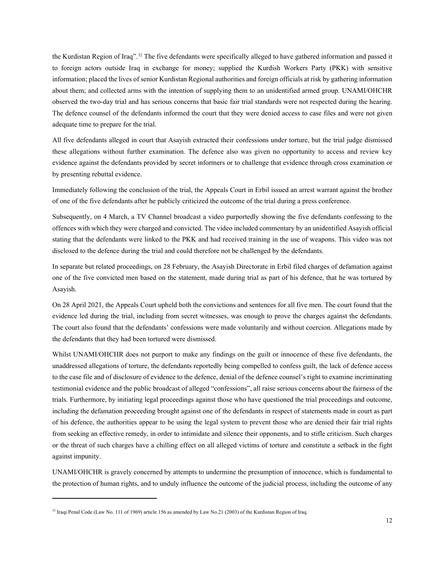the Kurdistan Region of Iraq". [32](#page-11-0) The five defendants were specifically alleged to have gathered information and passed it to foreign actors outside Iraq in exchange for money; supplied the Kurdish Workers Party (PKK) with sensitive information; placed the lives of senior Kurdistan Regional authorities and foreign officials at risk by gathering information about them; and collected arms with the intention of supplying them to an unidentified armed group. UNAMI/OHCHR observed the two-day trial and has serious concerns that basic fair trial standards were not respected during the hearing. The defence counsel of the defendants informed the court that they were denied access to case files and were not given adequate time to prepare for the trial.

All five defendants alleged in court that Asayish extracted their confessions under torture, but the trial judge dismissed these allegations without further examination. The defence also was given no opportunity to access and review key evidence against the defendants provided by secret informers or to challenge that evidence through cross examination or by presenting rebuttal evidence.

Immediately following the conclusion of the trial, the Appeals Court in Erbil issued an arrest warrant against the brother of one of the five defendants after he publicly criticized the outcome of the trial during a press conference.

Subsequently, on 4 March, a TV Channel broadcast a video purportedly showing the five defendants confessing to the offences with which they were charged and convicted. The video included commentary by an unidentified Asayish official stating that the defendants were linked to the PKK and had received training in the use of weapons. This video was not disclosed to the defence during the trial and could therefore not be challenged by the defendants.

In separate but related proceedings, on 28 February, the Asayish Directorate in Erbil filed charges of defamation against one of the five convicted men based on the statement, made during trial as part of his defence, that he was tortured by Asayish.

On 28 April 2021, the Appeals Court upheld both the convictions and sentences for all five men. The court found that the evidence led during the trial, including from secret witnesses, was enough to prove the charges against the defendants. The court also found that the defendants' confessions were made voluntarily and without coercion. Allegations made by the defendants that they had been tortured were dismissed.

Whilst UNAMI/OHCHR does not purport to make any findings on the guilt or innocence of these five defendants, the unaddressed allegations of torture, the defendants reportedly being compelled to confess guilt, the lack of defence access to the case file and of disclosure of evidence to the defence, denial of the defence counsel's right to examine incriminating testimonial evidence and the public broadcast of alleged "confessions", all raise serious concerns about the fairness of the trials. Furthermore, by initiating legal proceedings against those who have questioned the trial proceedings and outcome, including the defamation proceeding brought against one of the defendants in respect of statements made in court as part of his defence, the authorities appear to be using the legal system to prevent those who are denied their fair trial rights from seeking an effective remedy, in order to intimidate and silence their opponents, and to stifle criticism. Such charges or the threat of such charges have a chilling effect on all alleged victims of torture and constitute a setback in the fight against impunity.

UNAMI/OHCHR is gravely concerned by attempts to undermine the presumption of innocence, which is fundamental to the protection of human rights, and to unduly influence the outcome of the judicial process, including the outcome of any

<span id="page-11-0"></span><sup>&</sup>lt;sup>32</sup> Iraqi Penal Code (Law No. 111 of 1969) article 156 as amended by Law No.21 (2003) of the Kurdistan Region of Iraq.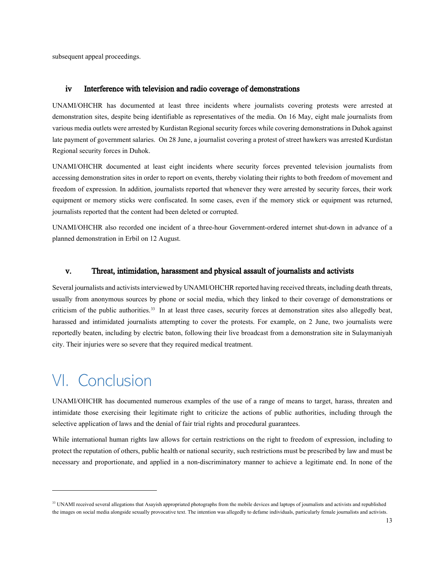subsequent appeal proceedings.

### <span id="page-12-0"></span>iv Interference with television and radio coverage of demonstrations

UNAMI/OHCHR has documented at least three incidents where journalists covering protests were arrested at demonstration sites, despite being identifiable as representatives of the media. On 16 May, eight male journalists from various media outlets were arrested by Kurdistan Regional security forces while covering demonstrations in Duhok against late payment of government salaries. On 28 June, a journalist covering a protest of street hawkers was arrested Kurdistan Regional security forces in Duhok.

UNAMI/OHCHR documented at least eight incidents where security forces prevented television journalists from accessing demonstration sites in order to report on events, thereby violating their rights to both freedom of movement and freedom of expression. In addition, journalists reported that whenever they were arrested by security forces, their work equipment or memory sticks were confiscated. In some cases, even if the memory stick or equipment was returned, journalists reported that the content had been deleted or corrupted.

UNAMI/OHCHR also recorded one incident of a three-hour Government-ordered internet shut-down in advance of a planned demonstration in Erbil on 12 August.

#### <span id="page-12-1"></span>v. Threat, intimidation, harassment and physical assault of journalists and activists

Several journalists and activists interviewed by UNAMI/OHCHR reported having received threats, including death threats, usually from anonymous sources by phone or social media, which they linked to their coverage of demonstrations or criticism of the public authorities. [33](#page-12-3) In at least three cases, security forces at demonstration sites also allegedly beat, harassed and intimidated journalists attempting to cover the protests. For example, on 2 June, two journalists were reportedly beaten, including by electric baton, following their live broadcast from a demonstration site in Sulaymaniyah city. Their injuries were so severe that they required medical treatment.

# <span id="page-12-2"></span>VI. Conclusion

UNAMI/OHCHR has documented numerous examples of the use of a range of means to target, harass, threaten and intimidate those exercising their legitimate right to criticize the actions of public authorities, including through the selective application of laws and the denial of fair trial rights and procedural guarantees.

While international human rights law allows for certain restrictions on the right to freedom of expression, including to protect the reputation of others, public health or national security, such restrictions must be prescribed by law and must be necessary and proportionate, and applied in a non-discriminatory manner to achieve a legitimate end. In none of the

<span id="page-12-3"></span><sup>&</sup>lt;sup>33</sup> UNAMI received several allegations that Asayish appropriated photographs from the mobile devices and laptops of journalists and activists and republished the images on social media alongside sexually provocative text. The intention was allegedly to defame individuals, particularly female journalists and activists.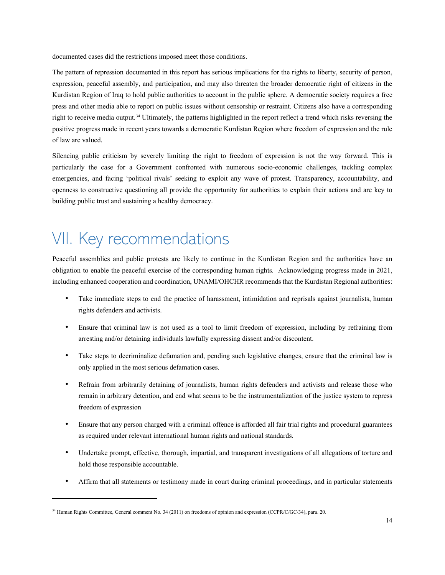documented cases did the restrictions imposed meet those conditions.

The pattern of repression documented in this report has serious implications for the rights to liberty, security of person, expression, peaceful assembly, and participation, and may also threaten the broader democratic right of citizens in the Kurdistan Region of Iraq to hold public authorities to account in the public sphere. A democratic society requires a free press and other media able to report on public issues without censorship or restraint. Citizens also have a corresponding right to receive media output.[34](#page-13-1) Ultimately, the patterns highlighted in the report reflect a trend which risks reversing the positive progress made in recent years towards a democratic Kurdistan Region where freedom of expression and the rule of law are valued.

Silencing public criticism by severely limiting the right to freedom of expression is not the way forward. This is particularly the case for a Government confronted with numerous socio-economic challenges, tackling complex emergencies, and facing 'political rivals' seeking to exploit any wave of protest. Transparency, accountability, and openness to constructive questioning all provide the opportunity for authorities to explain their actions and are key to building public trust and sustaining a healthy democracy.

# <span id="page-13-0"></span>VII. Key recommendations

Peaceful assemblies and public protests are likely to continue in the Kurdistan Region and the authorities have an obligation to enable the peaceful exercise of the corresponding human rights. Acknowledging progress made in 2021, including enhanced cooperation and coordination, UNAMI/OHCHR recommends that the Kurdistan Regional authorities:

- Take immediate steps to end the practice of harassment, intimidation and reprisals against journalists, human rights defenders and activists.
- Ensure that criminal law is not used as a tool to limit freedom of expression, including by refraining from arresting and/or detaining individuals lawfully expressing dissent and/or discontent.
- Take steps to decriminalize defamation and, pending such legislative changes, ensure that the criminal law is only applied in the most serious defamation cases.
- Refrain from arbitrarily detaining of journalists, human rights defenders and activists and release those who remain in arbitrary detention, and end what seems to be the instrumentalization of the justice system to repress freedom of expression
- Ensure that any person charged with a criminal offence is afforded all fair trial rights and procedural guarantees as required under relevant international human rights and national standards.
- Undertake prompt, effective, thorough, impartial, and transparent investigations of all allegations of torture and hold those responsible accountable.
- Affirm that all statements or testimony made in court during criminal proceedings, and in particular statements

<span id="page-13-1"></span><sup>34</sup> Human Rights Committee, General comment No. 34 (2011) on freedoms of opinion and expression (CCPR/C/GC/34), para. 20.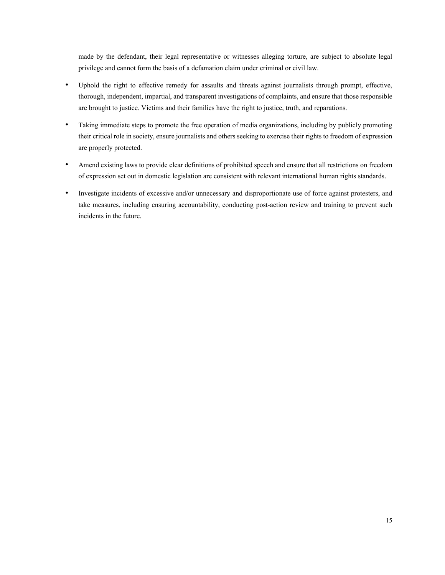made by the defendant, their legal representative or witnesses alleging torture, are subject to absolute legal privilege and cannot form the basis of a defamation claim under criminal or civil law.

- Uphold the right to effective remedy for assaults and threats against journalists through prompt, effective, thorough, independent, impartial, and transparent investigations of complaints, and ensure that those responsible are brought to justice. Victims and their families have the right to justice, truth, and reparations.
- Taking immediate steps to promote the free operation of media organizations, including by publicly promoting their critical role in society, ensure journalists and others seeking to exercise their rights to freedom of expression are properly protected.
- Amend existing laws to provide clear definitions of prohibited speech and ensure that all restrictions on freedom of expression set out in domestic legislation are consistent with relevant international human rights standards.
- Investigate incidents of excessive and/or unnecessary and disproportionate use of force against protesters, and take measures, including ensuring accountability, conducting post-action review and training to prevent such incidents in the future.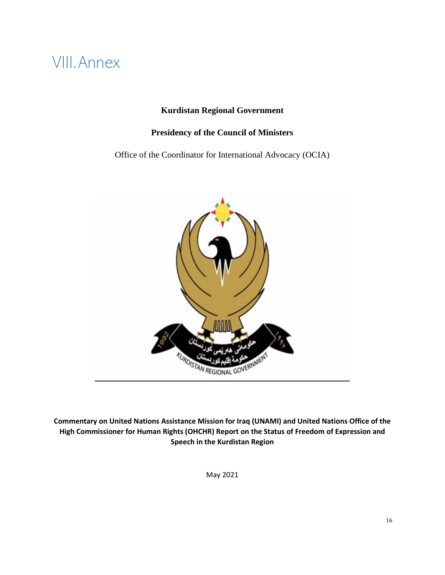# <span id="page-15-0"></span>VIII.Annex

# **Kurdistan Regional Government**

# **Presidency of the Council of Ministers**

Office of the Coordinator for International Advocacy (OCIA)



**Commentary on United Nations Assistance Mission for Iraq (UNAMI) and United Nations Office of the High Commissioner for Human Rights (OHCHR) Report on the Status of Freedom of Expression and Speech in the Kurdistan Region**

May 2021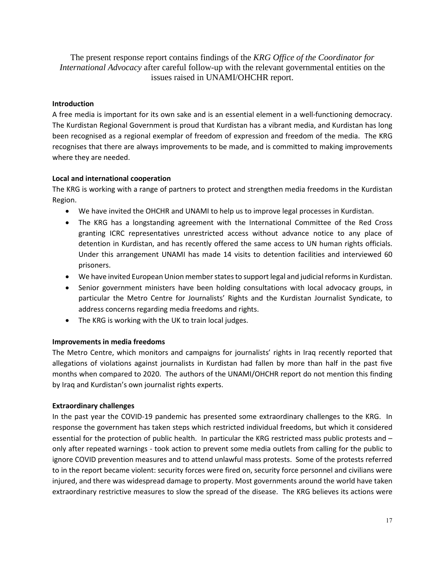The present response report contains findings of the *KRG Office of the Coordinator for International Advocacy* after careful follow-up with the relevant governmental entities on the issues raised in UNAMI/OHCHR report.

# **Introduction**

A free media is important for its own sake and is an essential element in a well-functioning democracy. The Kurdistan Regional Government is proud that Kurdistan has a vibrant media, and Kurdistan has long been recognised as a regional exemplar of freedom of expression and freedom of the media. The KRG recognises that there are always improvements to be made, and is committed to making improvements where they are needed.

# **Local and international cooperation**

The KRG is working with a range of partners to protect and strengthen media freedoms in the Kurdistan Region.

- We have invited the OHCHR and UNAMI to help us to improve legal processes in Kurdistan.
- The KRG has a longstanding agreement with the International Committee of the Red Cross granting ICRC representatives unrestricted access without advance notice to any place of detention in Kurdistan, and has recently offered the same access to UN human rights officials. Under this arrangement UNAMI has made 14 visits to detention facilities and interviewed 60 prisoners.
- We have invited European Union member states to support legal and judicial reforms in Kurdistan.
- Senior government ministers have been holding consultations with local advocacy groups, in particular the Metro Centre for Journalists' Rights and the Kurdistan Journalist Syndicate, to address concerns regarding media freedoms and rights.
- The KRG is working with the UK to train local judges.

# **Improvements in media freedoms**

The Metro Centre, which monitors and campaigns for journalists' rights in Iraq recently reported that allegations of violations against journalists in Kurdistan had fallen by more than half in the past five months when compared to 2020. The authors of the UNAMI/OHCHR report do not mention this finding by Iraq and Kurdistan's own journalist rights experts.

### **Extraordinary challenges**

In the past year the COVID-19 pandemic has presented some extraordinary challenges to the KRG. In response the government has taken steps which restricted individual freedoms, but which it considered essential for the protection of public health. In particular the KRG restricted mass public protests and – only after repeated warnings - took action to prevent some media outlets from calling for the public to ignore COVID prevention measures and to attend unlawful mass protests. Some of the protests referred to in the report became violent: security forces were fired on, security force personnel and civilians were injured, and there was widespread damage to property. Most governments around the world have taken extraordinary restrictive measures to slow the spread of the disease. The KRG believes its actions were